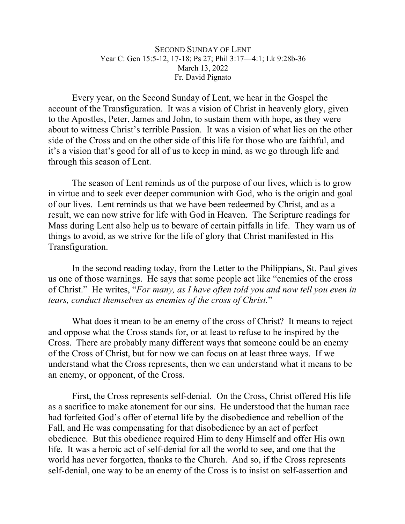SECOND SUNDAY OF LENT Year C: Gen 15:5-12, 17-18; Ps 27; Phil 3:17—4:1; Lk 9:28b-36 March 13, 2022 Fr. David Pignato

Every year, on the Second Sunday of Lent, we hear in the Gospel the account of the Transfiguration. It was a vision of Christ in heavenly glory, given to the Apostles, Peter, James and John, to sustain them with hope, as they were about to witness Christ's terrible Passion. It was a vision of what lies on the other side of the Cross and on the other side of this life for those who are faithful, and it's a vision that's good for all of us to keep in mind, as we go through life and through this season of Lent.

The season of Lent reminds us of the purpose of our lives, which is to grow in virtue and to seek ever deeper communion with God, who is the origin and goal of our lives. Lent reminds us that we have been redeemed by Christ, and as a result, we can now strive for life with God in Heaven. The Scripture readings for Mass during Lent also help us to beware of certain pitfalls in life. They warn us of things to avoid, as we strive for the life of glory that Christ manifested in His Transfiguration.

In the second reading today, from the Letter to the Philippians, St. Paul gives us one of those warnings. He says that some people act like "enemies of the cross of Christ." He writes, "*For many, as I have often told you and now tell you even in tears, conduct themselves as enemies of the cross of Christ.*"

What does it mean to be an enemy of the cross of Christ? It means to reject and oppose what the Cross stands for, or at least to refuse to be inspired by the Cross. There are probably many different ways that someone could be an enemy of the Cross of Christ, but for now we can focus on at least three ways. If we understand what the Cross represents, then we can understand what it means to be an enemy, or opponent, of the Cross.

First, the Cross represents self-denial. On the Cross, Christ offered His life as a sacrifice to make atonement for our sins. He understood that the human race had forfeited God's offer of eternal life by the disobedience and rebellion of the Fall, and He was compensating for that disobedience by an act of perfect obedience. But this obedience required Him to deny Himself and offer His own life. It was a heroic act of self-denial for all the world to see, and one that the world has never forgotten, thanks to the Church. And so, if the Cross represents self-denial, one way to be an enemy of the Cross is to insist on self-assertion and